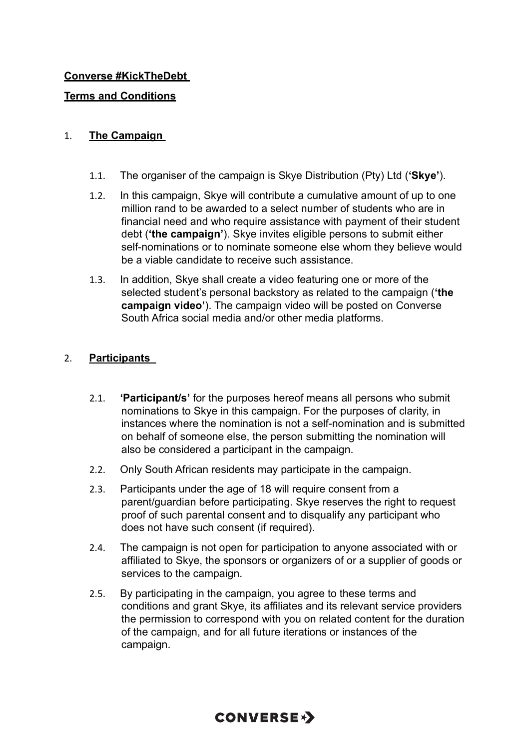### **Converse #KickTheDebt**

### **Terms and Conditions**

#### 1. **The Campaign**

- 1.1. The organiser of the campaign is Skye Distribution (Pty) Ltd (**'Skye'**).
- 1.2. In this campaign, Skye will contribute a cumulative amount of up to one million rand to be awarded to a select number of students who are in financial need and who require assistance with payment of their student debt (**'the campaign'**). Skye invites eligible persons to submit either self-nominations or to nominate someone else whom they believe would be a viable candidate to receive such assistance.
- 1.3. In addition, Skye shall create a video featuring one or more of the selected student's personal backstory as related to the campaign (**'the campaign video'**). The campaign video will be posted on Converse South Africa social media and/or other media platforms.

### 2. **Participants**

- 2.1. **'Participant/s'** for the purposes hereof means all persons who submit nominations to Skye in this campaign. For the purposes of clarity, in instances where the nomination is not a self-nomination and is submitted on behalf of someone else, the person submitting the nomination will also be considered a participant in the campaign.
- 2.2. Only South African residents may participate in the campaign.
- 2.3. Participants under the age of 18 will require consent from a parent/guardian before participating. Skye reserves the right to request proof of such parental consent and to disqualify any participant who does not have such consent (if required).
- 2.4. The campaign is not open for participation to anyone associated with or affiliated to Skye, the sponsors or organizers of or a supplier of goods or services to the campaign.
- 2.5. By participating in the campaign, you agree to these terms and conditions and grant Skye, its affiliates and its relevant service providers the permission to correspond with you on related content for the duration of the campaign, and for all future iterations or instances of the campaign.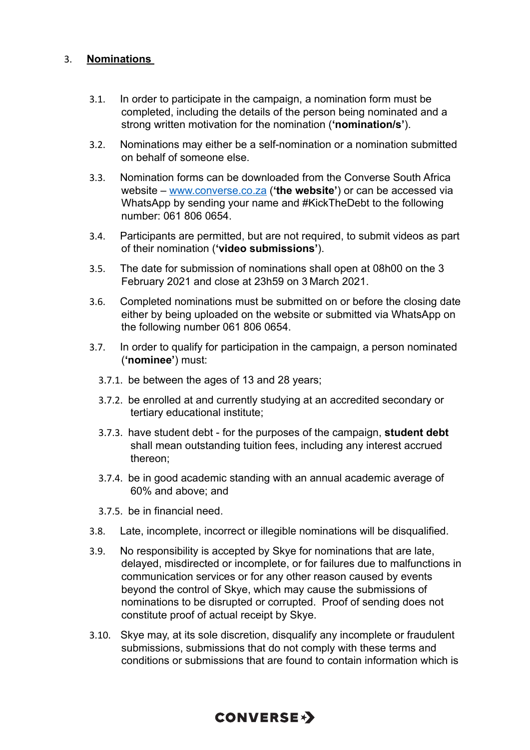#### 3. **Nominations**

- 3.1. In order to participate in the campaign, a nomination form must be completed, including the details of the person being nominated and a strong written motivation for the nomination (**'nomination/s'**).
- 3.2. Nominations may either be a self-nomination or a nomination submitted on behalf of someone else.
- 3.3. Nomination forms can be downloaded from the Converse South Africa website – www.converse.co.za (**'the website'**) or can be accessed via WhatsApp by sending your name and #KickTheDebt to the following number: 061 806 0654.
- 3.4. Participants are permitted, but are not required, to submit videos as part of their nomination (**'video submissions'**).
- 3.5. The date for submission of nominations shall open at 08h00 on the 3 February 2021 and close at 23h59 on 3 March 2021.
- 3.6. Completed nominations must be submitted on or before the closing date either by being uploaded on the website or submitted via WhatsApp on the following number 061 806 0654.
- 3.7. In order to qualify for participation in the campaign, a person nominated (**'nominee'**) must:
	- 3.7.1. be between the ages of 13 and 28 years;
	- 3.7.2. be enrolled at and currently studying at an accredited secondary or tertiary educational institute;
	- 3.7.3. have student debt for the purposes of the campaign, **student debt** shall mean outstanding tuition fees, including any interest accrued thereon;
	- 3.7.4. be in good academic standing with an annual academic average of 60% and above; and
	- 3.7.5. be in financial need.
- 3.8. Late, incomplete, incorrect or illegible nominations will be disqualified.
- 3.9. No responsibility is accepted by Skye for nominations that are late, delayed, misdirected or incomplete, or for failures due to malfunctions in communication services or for any other reason caused by events beyond the control of Skye, which may cause the submissions of nominations to be disrupted or corrupted. Proof of sending does not constitute proof of actual receipt by Skye.
- 3.10. Skye may, at its sole discretion, disqualify any incomplete or fraudulent submissions, submissions that do not comply with these terms and conditions or submissions that are found to contain information which is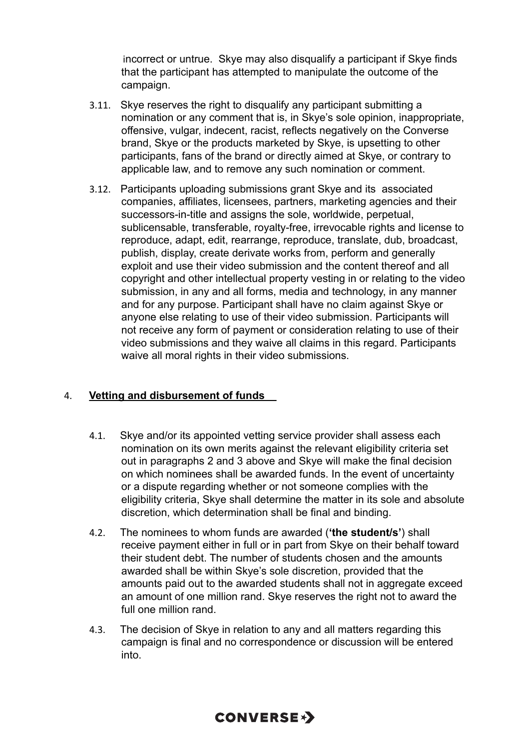incorrect or untrue. Skye may also disqualify a participant if Skye finds that the participant has attempted to manipulate the outcome of the campaign.

- 3.11. Skye reserves the right to disqualify any participant submitting a nomination or any comment that is, in Skye's sole opinion, inappropriate, offensive, vulgar, indecent, racist, reflects negatively on the Converse brand, Skye or the products marketed by Skye, is upsetting to other participants, fans of the brand or directly aimed at Skye, or contrary to applicable law, and to remove any such nomination or comment.
- 3.12. Participants uploading submissions grant Skye and its associated companies, affiliates, licensees, partners, marketing agencies and their successors-in-title and assigns the sole, worldwide, perpetual, sublicensable, transferable, royalty-free, irrevocable rights and license to reproduce, adapt, edit, rearrange, reproduce, translate, dub, broadcast, publish, display, create derivate works from, perform and generally exploit and use their video submission and the content thereof and all copyright and other intellectual property vesting in or relating to the video submission, in any and all forms, media and technology, in any manner and for any purpose. Participant shall have no claim against Skye or anyone else relating to use of their video submission. Participants will not receive any form of payment or consideration relating to use of their video submissions and they waive all claims in this regard. Participants waive all moral rights in their video submissions.

### 4. **Vetting and disbursement of funds**

- 4.1. Skye and/or its appointed vetting service provider shall assess each nomination on its own merits against the relevant eligibility criteria set out in paragraphs 2 and 3 above and Skye will make the final decision on which nominees shall be awarded funds. In the event of uncertainty or a dispute regarding whether or not someone complies with the eligibility criteria, Skye shall determine the matter in its sole and absolute discretion, which determination shall be final and binding.
- 4.2. The nominees to whom funds are awarded (**'the student/s'**) shall receive payment either in full or in part from Skye on their behalf toward their student debt. The number of students chosen and the amounts awarded shall be within Skye's sole discretion, provided that the amounts paid out to the awarded students shall not in aggregate exceed an amount of one million rand. Skye reserves the right not to award the full one million rand.
- 4.3. The decision of Skye in relation to any and all matters regarding this campaign is final and no correspondence or discussion will be entered into.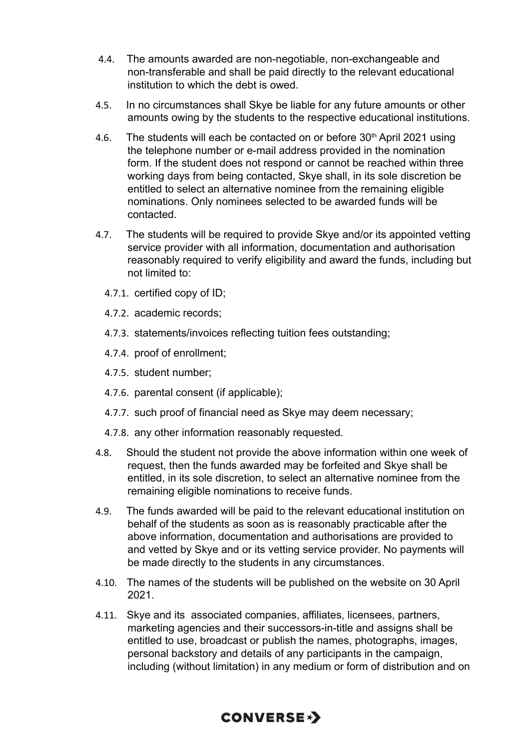- 4.4. The amounts awarded are non-negotiable, non-exchangeable and non-transferable and shall be paid directly to the relevant educational institution to which the debt is owed.
- 4.5. In no circumstances shall Skye be liable for any future amounts or other amounts owing by the students to the respective educational institutions.
- 4.6. The students will each be contacted on or before 30<sup>th</sup> April 2021 using the telephone number or e-mail address provided in the nomination form. If the student does not respond or cannot be reached within three working days from being contacted, Skye shall, in its sole discretion be entitled to select an alternative nominee from the remaining eligible nominations. Only nominees selected to be awarded funds will be contacted.
- 4.7. The students will be required to provide Skye and/or its appointed vetting service provider with all information, documentation and authorisation reasonably required to verify eligibility and award the funds, including but not limited to:
	- 4.7.1. certified copy of ID;
	- 4.7.2. academic records;
	- 4.7.3. statements/invoices reflecting tuition fees outstanding;
	- 4.7.4. proof of enrollment;
	- 4.7.5. student number;
	- 4.7.6. parental consent (if applicable);
	- 4.7.7. such proof of financial need as Skye may deem necessary;
	- 4.7.8. any other information reasonably requested.
- 4.8. Should the student not provide the above information within one week of request, then the funds awarded may be forfeited and Skye shall be entitled, in its sole discretion, to select an alternative nominee from the remaining eligible nominations to receive funds.
- 4.9. The funds awarded will be paid to the relevant educational institution on behalf of the students as soon as is reasonably practicable after the above information, documentation and authorisations are provided to and vetted by Skye and or its vetting service provider. No payments will be made directly to the students in any circumstances.
- 4.10. The names of the students will be published on the website on 30 April 2021.
- 4.11. Skye and its associated companies, affiliates, licensees, partners, marketing agencies and their successors-in-title and assigns shall be entitled to use, broadcast or publish the names, photographs, images, personal backstory and details of any participants in the campaign, including (without limitation) in any medium or form of distribution and on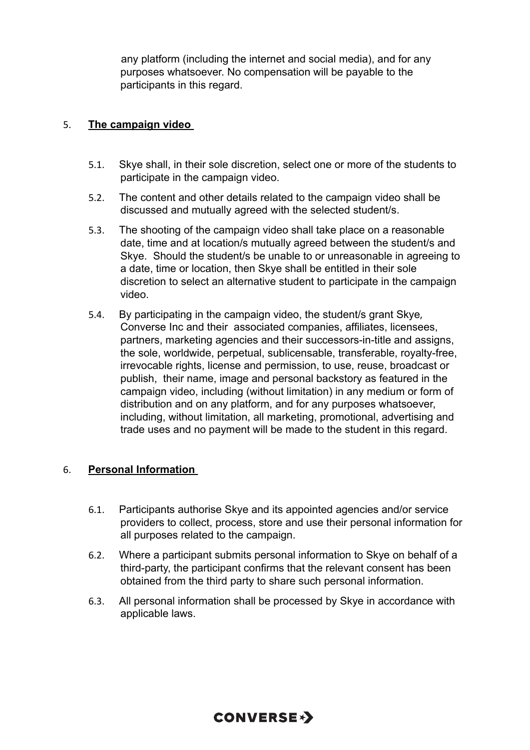any platform (including the internet and social media), and for any purposes whatsoever. No compensation will be payable to the participants in this regard.

#### 5. **The campaign video**

- 5.1. Skye shall, in their sole discretion, select one or more of the students to participate in the campaign video.
- 5.2. The content and other details related to the campaign video shall be discussed and mutually agreed with the selected student/s.
- 5.3. The shooting of the campaign video shall take place on a reasonable date, time and at location/s mutually agreed between the student/s and Skye. Should the student/s be unable to or unreasonable in agreeing to a date, time or location, then Skye shall be entitled in their sole discretion to select an alternative student to participate in the campaign video.
- 5.4. By participating in the campaign video, the student/s grant Skye, Converse Inc and their associated companies, affiliates, licensees, partners, marketing agencies and their successors-in-title and assigns, the sole, worldwide, perpetual, sublicensable, transferable, royalty-free, irrevocable rights, license and permission, to use, reuse, broadcast or publish, their name, image and personal backstory as featured in the campaign video, including (without limitation) in any medium or form of distribution and on any platform, and for any purposes whatsoever, including, without limitation, all marketing, promotional, advertising and trade uses and no payment will be made to the student in this regard.

#### 6. **Personal Information**

- 6.1. Participants authorise Skye and its appointed agencies and/or service providers to collect, process, store and use their personal information for all purposes related to the campaign.
- 6.2. Where a participant submits personal information to Skye on behalf of a third-party, the participant confirms that the relevant consent has been obtained from the third party to share such personal information.
- 6.3. All personal information shall be processed by Skye in accordance with applicable laws.